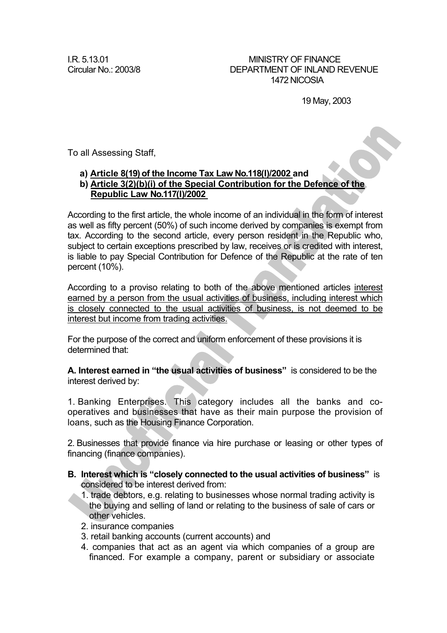I.R. 5.13.01 MINISTRY OF FINANCE Circular No.: 2003/8 DEPARTMENT OF INLAND REVENUE 1472 NICOSIA

19 May, 2003

To all Assessing Staff,

## **a) Article 8(19) of the Income Tax Law Νο.118(I)/2002 and**

## **b) Article 3(2)(b)(i) of the Special Contribution for the Defence of the Republic Law Νο.117(I)/2002**

According to the first article, the whole income of an individual in the form of interest as well as fifty percent (50%) of such income derived by companies is exempt from tax. According to the second article, every person resident in the Republic who, subject to certain exceptions prescribed by law, receives or is credited with interest, is liable to pay Special Contribution for Defence of the Republic at the rate of ten percent (10%).

According to a proviso relating to both of the above mentioned articles interest earned by a person from the usual activities of business, including interest which is closely connected to the usual activities of business, is not deemed to be interest but income from trading activities.

For the purpose of the correct and uniform enforcement of these provisions it is determined that:

**A. Interest earned in "the usual activities of business"** is considered to be the interest derived by:

1. Banking Enterprises. This category includes all the banks and cooperatives and businesses that have as their main purpose the provision of loans, such as the Housing Finance Corporation.

2. Businesses that provide finance via hire purchase or leasing or other types of financing (finance companies).

- **B. Interest which is "closely connected to the usual activities of business"** is considered to be interest derived from:
	- 1. trade debtors, e.g. relating to businesses whose normal trading activity is the buying and selling of land or relating to the business of sale of cars or other vehicles.
	- 2. insurance companies
	- 3. retail banking accounts (current accounts) and
	- 4. companies that act as an agent via which companies of a group are financed. For example a company, parent or subsidiary or associate